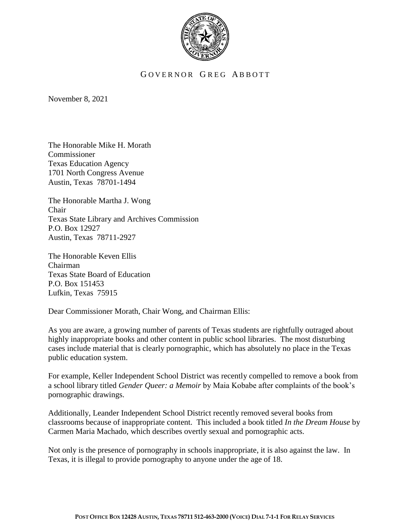

## GOVERNOR GREG ABBOTT

November 8, 2021

The Honorable Mike H. Morath Commissioner Texas Education Agency 1701 North Congress Avenue Austin, Texas 78701-1494

The Honorable Martha J. Wong Chair Texas State Library and Archives Commission P.O. Box 12927 Austin, Texas 78711-2927

The Honorable Keven Ellis Chairman Texas State Board of Education P.O. Box 151453 Lufkin, Texas 75915

Dear Commissioner Morath, Chair Wong, and Chairman Ellis:

As you are aware, a growing number of parents of Texas students are rightfully outraged about highly inappropriate books and other content in public school libraries. The most disturbing cases include material that is clearly pornographic, which has absolutely no place in the Texas public education system.

For example, Keller Independent School District was recently compelled to remove a book from a school library titled *Gender Queer: a Memoir* by Maia Kobabe after complaints of the book's pornographic drawings.

Additionally, Leander Independent School District recently removed several books from classrooms because of inappropriate content. This included a book titled *In the Dream House* by Carmen Maria Machado, which describes overtly sexual and pornographic acts.

Not only is the presence of pornography in schools inappropriate, it is also against the law. In Texas, it is illegal to provide pornography to anyone under the age of 18.